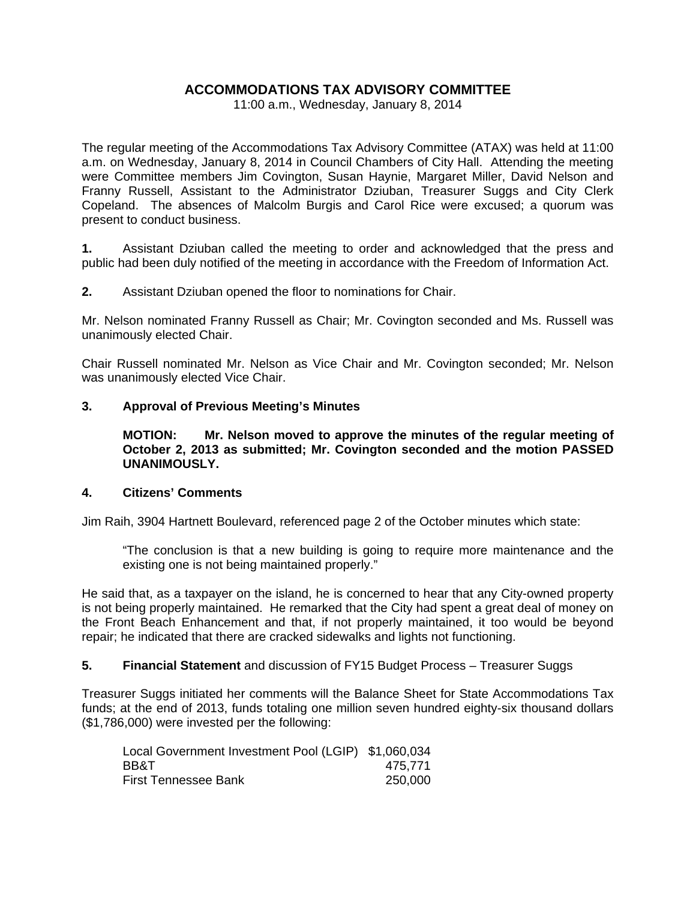# **ACCOMMODATIONS TAX ADVISORY COMMITTEE**

11:00 a.m., Wednesday, January 8, 2014

The regular meeting of the Accommodations Tax Advisory Committee (ATAX) was held at 11:00 a.m. on Wednesday, January 8, 2014 in Council Chambers of City Hall. Attending the meeting were Committee members Jim Covington, Susan Haynie, Margaret Miller, David Nelson and Franny Russell, Assistant to the Administrator Dziuban, Treasurer Suggs and City Clerk Copeland. The absences of Malcolm Burgis and Carol Rice were excused; a quorum was present to conduct business.

**1.** Assistant Dziuban called the meeting to order and acknowledged that the press and public had been duly notified of the meeting in accordance with the Freedom of Information Act.

**2.** Assistant Dziuban opened the floor to nominations for Chair.

Mr. Nelson nominated Franny Russell as Chair; Mr. Covington seconded and Ms. Russell was unanimously elected Chair.

Chair Russell nominated Mr. Nelson as Vice Chair and Mr. Covington seconded; Mr. Nelson was unanimously elected Vice Chair.

### **3. Approval of Previous Meeting's Minutes**

 **MOTION: Mr. Nelson moved to approve the minutes of the regular meeting of October 2, 2013 as submitted; Mr. Covington seconded and the motion PASSED UNANIMOUSLY.** 

### **4. Citizens' Comments**

Jim Raih, 3904 Hartnett Boulevard, referenced page 2 of the October minutes which state:

 "The conclusion is that a new building is going to require more maintenance and the existing one is not being maintained properly."

He said that, as a taxpayer on the island, he is concerned to hear that any City-owned property is not being properly maintained. He remarked that the City had spent a great deal of money on the Front Beach Enhancement and that, if not properly maintained, it too would be beyond repair; he indicated that there are cracked sidewalks and lights not functioning.

# **5. Financial Statement** and discussion of FY15 Budget Process – Treasurer Suggs

Treasurer Suggs initiated her comments will the Balance Sheet for State Accommodations Tax funds; at the end of 2013, funds totaling one million seven hundred eighty-six thousand dollars (\$1,786,000) were invested per the following:

| Local Government Investment Pool (LGIP) \$1,060,034 |         |
|-----------------------------------------------------|---------|
| <b>BB&amp;T</b>                                     | 475.771 |
| <b>First Tennessee Bank</b>                         | 250.000 |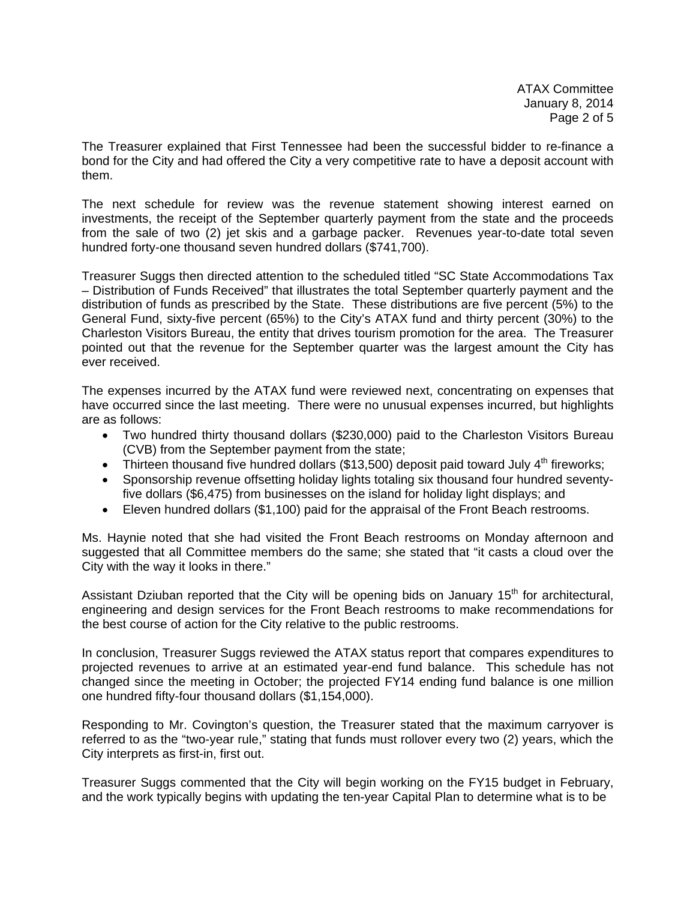ATAX Committee January 8, 2014 Page 2 of 5

The Treasurer explained that First Tennessee had been the successful bidder to re-finance a bond for the City and had offered the City a very competitive rate to have a deposit account with them.

The next schedule for review was the revenue statement showing interest earned on investments, the receipt of the September quarterly payment from the state and the proceeds from the sale of two (2) jet skis and a garbage packer. Revenues year-to-date total seven hundred forty-one thousand seven hundred dollars (\$741,700).

Treasurer Suggs then directed attention to the scheduled titled "SC State Accommodations Tax – Distribution of Funds Received" that illustrates the total September quarterly payment and the distribution of funds as prescribed by the State. These distributions are five percent (5%) to the General Fund, sixty-five percent (65%) to the City's ATAX fund and thirty percent (30%) to the Charleston Visitors Bureau, the entity that drives tourism promotion for the area. The Treasurer pointed out that the revenue for the September quarter was the largest amount the City has ever received.

The expenses incurred by the ATAX fund were reviewed next, concentrating on expenses that have occurred since the last meeting. There were no unusual expenses incurred, but highlights are as follows:

- Two hundred thirty thousand dollars (\$230,000) paid to the Charleston Visitors Bureau (CVB) from the September payment from the state;
- Thirteen thousand five hundred dollars (\$13,500) deposit paid toward July  $4<sup>th</sup>$  fireworks;
- Sponsorship revenue offsetting holiday lights totaling six thousand four hundred seventyfive dollars (\$6,475) from businesses on the island for holiday light displays; and
- Eleven hundred dollars (\$1,100) paid for the appraisal of the Front Beach restrooms.

Ms. Haynie noted that she had visited the Front Beach restrooms on Monday afternoon and suggested that all Committee members do the same; she stated that "it casts a cloud over the City with the way it looks in there."

Assistant Dziuban reported that the City will be opening bids on January  $15<sup>th</sup>$  for architectural, engineering and design services for the Front Beach restrooms to make recommendations for the best course of action for the City relative to the public restrooms.

In conclusion, Treasurer Suggs reviewed the ATAX status report that compares expenditures to projected revenues to arrive at an estimated year-end fund balance. This schedule has not changed since the meeting in October; the projected FY14 ending fund balance is one million one hundred fifty-four thousand dollars (\$1,154,000).

Responding to Mr. Covington's question, the Treasurer stated that the maximum carryover is referred to as the "two-year rule," stating that funds must rollover every two (2) years, which the City interprets as first-in, first out.

Treasurer Suggs commented that the City will begin working on the FY15 budget in February, and the work typically begins with updating the ten-year Capital Plan to determine what is to be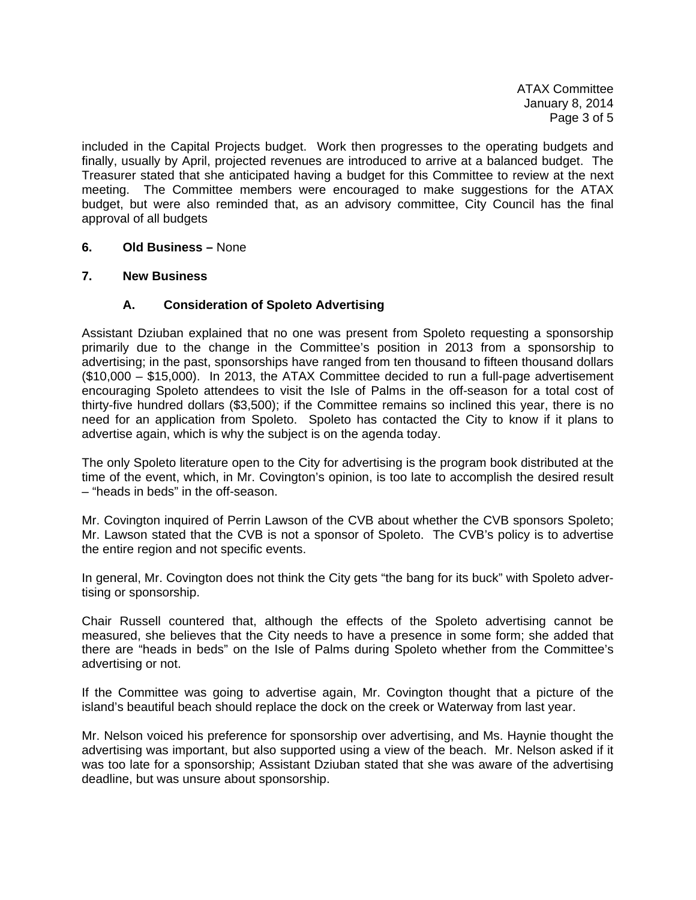ATAX Committee January 8, 2014 Page 3 of 5

included in the Capital Projects budget. Work then progresses to the operating budgets and finally, usually by April, projected revenues are introduced to arrive at a balanced budget. The Treasurer stated that she anticipated having a budget for this Committee to review at the next meeting. The Committee members were encouraged to make suggestions for the ATAX budget, but were also reminded that, as an advisory committee, City Council has the final approval of all budgets

### **6. Old Business –** None

### **7. New Business**

# **A. Consideration of Spoleto Advertising**

Assistant Dziuban explained that no one was present from Spoleto requesting a sponsorship primarily due to the change in the Committee's position in 2013 from a sponsorship to advertising; in the past, sponsorships have ranged from ten thousand to fifteen thousand dollars (\$10,000 – \$15,000). In 2013, the ATAX Committee decided to run a full-page advertisement encouraging Spoleto attendees to visit the Isle of Palms in the off-season for a total cost of thirty-five hundred dollars (\$3,500); if the Committee remains so inclined this year, there is no need for an application from Spoleto. Spoleto has contacted the City to know if it plans to advertise again, which is why the subject is on the agenda today.

The only Spoleto literature open to the City for advertising is the program book distributed at the time of the event, which, in Mr. Covington's opinion, is too late to accomplish the desired result – "heads in beds" in the off-season.

Mr. Covington inquired of Perrin Lawson of the CVB about whether the CVB sponsors Spoleto; Mr. Lawson stated that the CVB is not a sponsor of Spoleto. The CVB's policy is to advertise the entire region and not specific events.

In general, Mr. Covington does not think the City gets "the bang for its buck" with Spoleto advertising or sponsorship.

Chair Russell countered that, although the effects of the Spoleto advertising cannot be measured, she believes that the City needs to have a presence in some form; she added that there are "heads in beds" on the Isle of Palms during Spoleto whether from the Committee's advertising or not.

If the Committee was going to advertise again, Mr. Covington thought that a picture of the island's beautiful beach should replace the dock on the creek or Waterway from last year.

Mr. Nelson voiced his preference for sponsorship over advertising, and Ms. Haynie thought the advertising was important, but also supported using a view of the beach. Mr. Nelson asked if it was too late for a sponsorship; Assistant Dziuban stated that she was aware of the advertising deadline, but was unsure about sponsorship.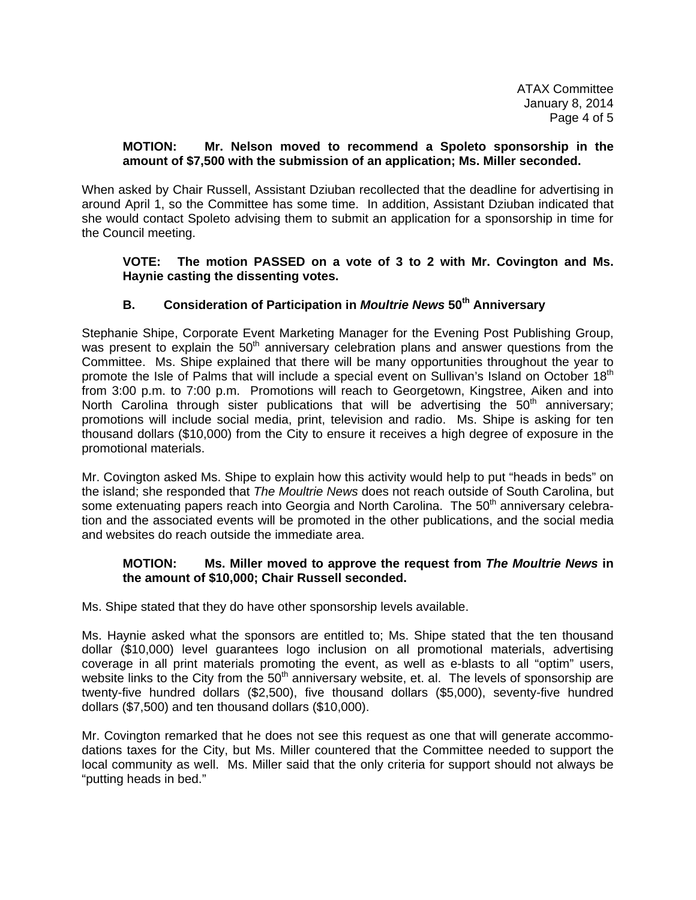ATAX Committee January 8, 2014 Page 4 of 5

### **MOTION: Mr. Nelson moved to recommend a Spoleto sponsorship in the amount of \$7,500 with the submission of an application; Ms. Miller seconded.**

When asked by Chair Russell, Assistant Dziuban recollected that the deadline for advertising in around April 1, so the Committee has some time. In addition, Assistant Dziuban indicated that she would contact Spoleto advising them to submit an application for a sponsorship in time for the Council meeting.

### **VOTE: The motion PASSED on a vote of 3 to 2 with Mr. Covington and Ms. Haynie casting the dissenting votes.**

# **B. Consideration of Participation in** *Moultrie News* **50th Anniversary**

Stephanie Shipe, Corporate Event Marketing Manager for the Evening Post Publishing Group, was present to explain the  $50<sup>th</sup>$  anniversary celebration plans and answer questions from the Committee. Ms. Shipe explained that there will be many opportunities throughout the year to promote the Isle of Palms that will include a special event on Sullivan's Island on October 18<sup>th</sup> from 3:00 p.m. to 7:00 p.m. Promotions will reach to Georgetown, Kingstree, Aiken and into North Carolina through sister publications that will be advertising the  $50<sup>th</sup>$  anniversary; promotions will include social media, print, television and radio. Ms. Shipe is asking for ten thousand dollars (\$10,000) from the City to ensure it receives a high degree of exposure in the promotional materials.

Mr. Covington asked Ms. Shipe to explain how this activity would help to put "heads in beds" on the island; she responded that *The Moultrie News* does not reach outside of South Carolina, but some extenuating papers reach into Georgia and North Carolina. The 50<sup>th</sup> anniversary celebration and the associated events will be promoted in the other publications, and the social media and websites do reach outside the immediate area.

# **MOTION: Ms. Miller moved to approve the request from** *The Moultrie News* **in the amount of \$10,000; Chair Russell seconded.**

Ms. Shipe stated that they do have other sponsorship levels available.

Ms. Haynie asked what the sponsors are entitled to; Ms. Shipe stated that the ten thousand dollar (\$10,000) level guarantees logo inclusion on all promotional materials, advertising coverage in all print materials promoting the event, as well as e-blasts to all "optim" users, website links to the City from the 50<sup>th</sup> anniversary website, et. al. The levels of sponsorship are twenty-five hundred dollars (\$2,500), five thousand dollars (\$5,000), seventy-five hundred dollars (\$7,500) and ten thousand dollars (\$10,000).

Mr. Covington remarked that he does not see this request as one that will generate accommodations taxes for the City, but Ms. Miller countered that the Committee needed to support the local community as well. Ms. Miller said that the only criteria for support should not always be "putting heads in bed."